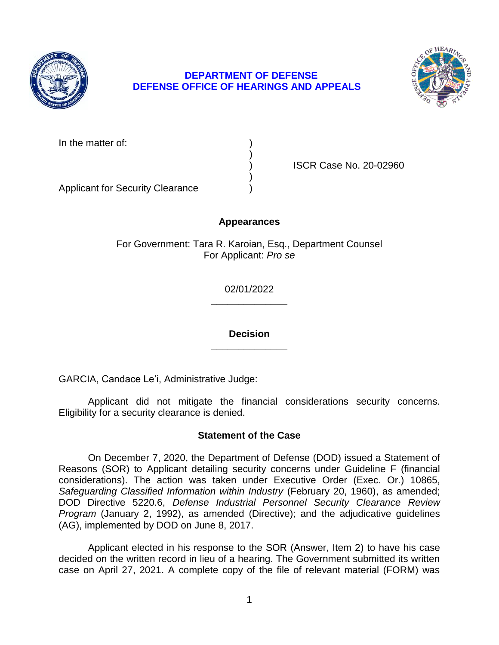

# **DEPARTMENT OF DEFENSE DEFENSE OFFICE OF HEARINGS AND APPEALS**



In the matter of:

) ISCR Case No. 20-02960

Applicant for Security Clearance )

## **Appearances**

)

)

For Government: Tara R. Karoian, Esq., Department Counsel For Applicant: *Pro se* 

> **\_\_\_\_\_\_\_\_\_\_\_\_\_\_**  02/01/2022

> **\_\_\_\_\_\_\_\_\_\_\_\_\_\_ Decision**

GARCIA, Candace Le'i, Administrative Judge:

Applicant did not mitigate the financial considerations security concerns. Eligibility for a security clearance is denied.

## **Statement of the Case**

 On December 7, 2020, the Department of Defense (DOD) issued a Statement of Reasons (SOR) to Applicant detailing security concerns under Guideline F (financial considerations). The action was taken under Executive Order (Exec. Or.) 10865, Safeguarding Classified Information within Industry (February 20, 1960), as amended;  DOD Directive 5220.6, *Defense Industrial Personnel Security Clearance Review Program* (January 2, 1992), as amended (Directive); and the adjudicative guidelines (AG), implemented by DOD on June 8, 2017.

 Applicant elected in his response to the SOR (Answer, Item 2) to have his case decided on the written record in lieu of a hearing. The Government submitted its written case on April 27, 2021. A complete copy of the file of relevant material (FORM) was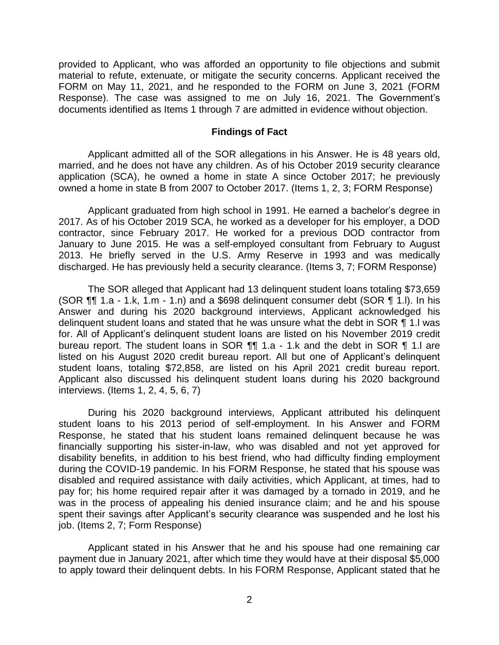provided to Applicant, who was afforded an opportunity to file objections and submit material to refute, extenuate, or mitigate the security concerns. Applicant received the FORM on May 11, 2021, and he responded to the FORM on June 3, 2021 (FORM Response). The case was assigned to me on July 16, 2021. The Government's documents identified as Items 1 through 7 are admitted in evidence without objection.

#### **Findings of Fact**

 Applicant admitted all of the SOR allegations in his Answer. He is 48 years old, married, and he does not have any children. As of his October 2019 security clearance application (SCA), he owned a home in state A since October 2017; he previously owned a home in state B from 2007 to October 2017. (Items 1, 2, 3; FORM Response)

 Applicant graduated from high school in 1991. He earned a bachelor's degree in 2017. As of his October 2019 SCA, he worked as a developer for his employer, a DOD contractor, since February 2017. He worked for a previous DOD contractor from January to June 2015. He was a self-employed consultant from February to August 2013. He briefly served in the U.S. Army Reserve in 1993 and was medically discharged. He has previously held a security clearance. (Items 3, 7; FORM Response)

 Answer and during his 2020 background interviews, Applicant acknowledged his delinquent student loans and stated that he was unsure what the debt in SOR ¶ 1.I was for. All of Applicant's delinquent student loans are listed on his November 2019 credit bureau report. The student loans in SOR ¶¶ 1.a - 1.k and the debt in SOR ¶ 1.l are listed on his August 2020 credit bureau report. All but one of Applicant's delinquent student loans, totaling \$72,858, are listed on his April 2021 credit bureau report. Applicant also discussed his delinquent student loans during his 2020 background The SOR alleged that Applicant had 13 delinquent student loans totaling \$73,659 (SOR ¶¶ 1.a - 1.k, 1.m - 1.n) and a \$698 delinquent consumer debt (SOR ¶ 1.l). In his interviews. (Items 1, 2, 4, 5, 6, 7)

 During his 2020 background interviews, Applicant attributed his delinquent student loans to his 2013 period of self-employment. In his Answer and FORM Response, he stated that his student loans remained delinquent because he was financially supporting his sister-in-law, who was disabled and not yet approved for disability benefits, in addition to his best friend, who had difficulty finding employment during the COVID-19 pandemic. In his FORM Response, he stated that his spouse was disabled and required assistance with daily activities, which Applicant, at times, had to pay for; his home required repair after it was damaged by a tornado in 2019, and he was in the process of appealing his denied insurance claim; and he and his spouse spent their savings after Applicant's security clearance was suspended and he lost his job. (Items 2, 7; Form Response)

 Applicant stated in his Answer that he and his spouse had one remaining car payment due in January 2021, after which time they would have at their disposal \$5,000 to apply toward their delinquent debts. In his FORM Response, Applicant stated that he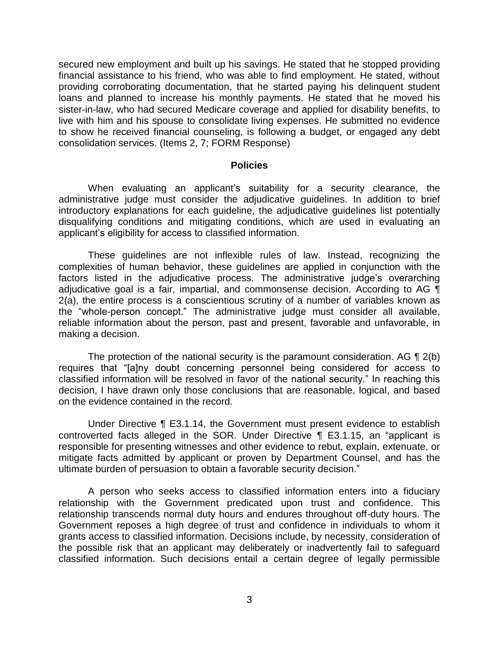secured new employment and built up his savings. He stated that he stopped providing financial assistance to his friend, who was able to find employment. He stated, without providing corroborating documentation, that he started paying his delinquent student loans and planned to increase his monthly payments. He stated that he moved his sister-in-law, who had secured Medicare coverage and applied for disability benefits, to live with him and his spouse to consolidate living expenses. He submitted no evidence to show he received financial counseling, is following a budget, or engaged any debt consolidation services. (Items 2, 7; FORM Response)

#### **Policies**

 administrative judge must consider the adjudicative guidelines. In addition to brief introductory explanations for each guideline, the adjudicative guidelines list potentially disqualifying conditions and mitigating conditions, which are used in evaluating an When evaluating an applicant's suitability for a security clearance, the applicant's eligibility for access to classified information.

 These guidelines are not inflexible rules of law. Instead, recognizing the complexities of human behavior, these guidelines are applied in conjunction with the factors listed in the adjudicative process. The administrative judge's overarching adjudicative goal is a fair, impartial, and commonsense decision. According to AG  $\P$  2(a), the entire process is a conscientious scrutiny of a number of variables known as the "whole-person concept." The administrative judge must consider all available, reliable information about the person, past and present, favorable and unfavorable, in making a decision.

The protection of the national security is the paramount consideration. AG  $\P$  2(b) classified information will be resolved in favor of the national security." In reaching this decision, I have drawn only those conclusions that are reasonable, logical, and based requires that "[a]ny doubt concerning personnel being considered for access to on the evidence contained in the record.

 Under Directive ¶ E3.1.14, the Government must present evidence to establish responsible for presenting witnesses and other evidence to rebut, explain, extenuate, or mitigate facts admitted by applicant or proven by Department Counsel, and has the controverted facts alleged in the SOR. Under Directive ¶ E3.1.15, an "applicant is ultimate burden of persuasion to obtain a favorable security decision."

 A person who seeks access to classified information enters into a fiduciary relationship with the Government predicated upon trust and confidence. This relationship transcends normal duty hours and endures throughout off-duty hours. The Government reposes a high degree of trust and confidence in individuals to whom it grants access to classified information. Decisions include, by necessity, consideration of the possible risk that an applicant may deliberately or inadvertently fail to safeguard classified information. Such decisions entail a certain degree of legally permissible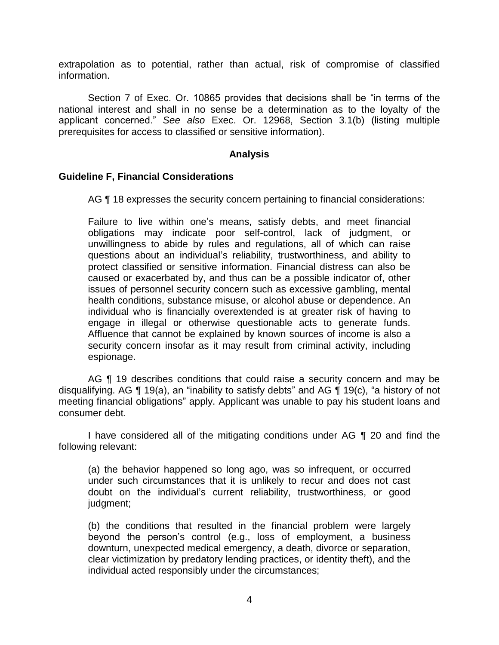extrapolation as to potential, rather than actual, risk of compromise of classified information.

 Section 7 of Exec. Or. 10865 provides that decisions shall be "in terms of the national interest and shall in no sense be a determination as to the loyalty of the applicant concerned." *See also* Exec. Or. 12968, Section 3.1(b) (listing multiple prerequisites for access to classified or sensitive information).

### **Analysis**

#### **Guideline F, Financial Considerations**

AG ¶ 18 expresses the security concern pertaining to financial considerations:

Failure to live within one's means, satisfy debts, and meet financial obligations may indicate poor self-control, lack of judgment, or unwillingness to abide by rules and regulations, all of which can raise questions about an individual's reliability, trustworthiness, and ability to protect classified or sensitive information. Financial distress can also be caused or exacerbated by, and thus can be a possible indicator of, other issues of personnel security concern such as excessive gambling, mental health conditions, substance misuse, or alcohol abuse or dependence. An individual who is financially overextended is at greater risk of having to engage in illegal or otherwise questionable acts to generate funds. Affluence that cannot be explained by known sources of income is also a security concern insofar as it may result from criminal activity, including espionage.

AG ¶ 19 describes conditions that could raise a security concern and may be disqualifying. AG ¶ 19(a), an "inability to satisfy debts" and AG ¶ 19(c), "a history of not meeting financial obligations" apply. Applicant was unable to pay his student loans and consumer debt.

 I have considered all of the mitigating conditions under AG ¶ 20 and find the following relevant:

(a) the behavior happened so long ago, was so infrequent, or occurred under such circumstances that it is unlikely to recur and does not cast doubt on the individual's current reliability, trustworthiness, or good judgment;

 (b) the conditions that resulted in the financial problem were largely beyond the person's control (e.g., loss of employment, a business clear victimization by predatory lending practices, or identity theft), and the downturn, unexpected medical emergency, a death, divorce or separation, individual acted responsibly under the circumstances;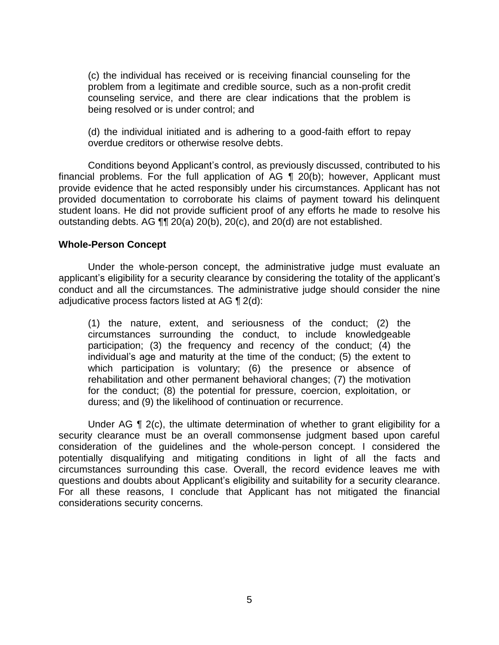(c) the individual has received or is receiving financial counseling for the problem from a legitimate and credible source, such as a non-profit credit counseling service, and there are clear indications that the problem is being resolved or is under control; and

 (d) the individual initiated and is adhering to a good-faith effort to repay overdue creditors or otherwise resolve debts.

 financial problems. For the full application of AG ¶ 20(b); however, Applicant must provide evidence that he acted responsibly under his circumstances. Applicant has not provided documentation to corroborate his claims of payment toward his delinquent student loans. He did not provide sufficient proof of any efforts he made to resolve his Conditions beyond Applicant's control, as previously discussed, contributed to his outstanding debts. AG ¶¶ 20(a) 20(b), 20(c), and 20(d) are not established.

### **Whole-Person Concept**

 Under the whole-person concept, the administrative judge must evaluate an applicant's eligibility for a security clearance by considering the totality of the applicant's conduct and all the circumstances. The administrative judge should consider the nine adjudicative process factors listed at AG ¶ 2(d):

(1) the nature, extent, and seriousness of the conduct; (2) the circumstances surrounding the conduct, to include knowledgeable participation; (3) the frequency and recency of the conduct; (4) the individual's age and maturity at the time of the conduct; (5) the extent to which participation is voluntary; (6) the presence or absence of rehabilitation and other permanent behavioral changes; (7) the motivation for the conduct; (8) the potential for pressure, coercion, exploitation, or duress; and (9) the likelihood of continuation or recurrence.

Under AG  $\P$  2(c), the ultimate determination of whether to grant eligibility for a security clearance must be an overall commonsense judgment based upon careful consideration of the guidelines and the whole-person concept. I considered the potentially disqualifying and mitigating conditions in light of all the facts and circumstances surrounding this case. Overall, the record evidence leaves me with questions and doubts about Applicant's eligibility and suitability for a security clearance. For all these reasons, I conclude that Applicant has not mitigated the financial considerations security concerns.